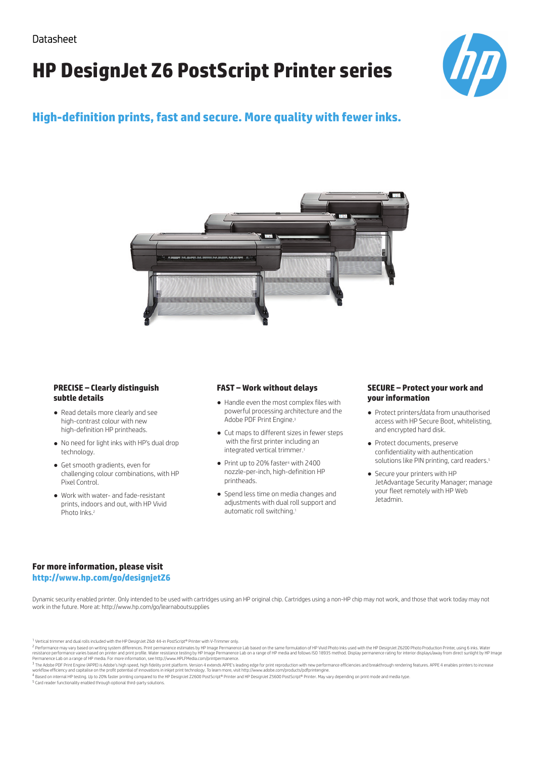# **HP DesignJet Z6 PostScript Printer series**



### **High-definition prints, fast and secure. More quality with fewer inks.**



#### **PRECISE – Clearly distinguish subtle details**

- Read details more clearly and see high-contrast colour with new high-definition HP printheads.
- No need for light inks with HP's dual drop technology.
- Get smooth gradients, even for challenging colour combinations, with HP Pixel Control.
- Work with water- and fade-resistant prints, indoors and out, with HP Vivid Photo Inks.<sup>2</sup>

### **FAST – Work without delays**

- Handle even the most complex files with powerful processing architecture and the Adobe PDF Print Engine.<sup>3</sup>
- Cut maps to different sizes in fewer steps with the first printer including an integrated vertical trimmer.1
- Print up to 20% faster<sup>4</sup> with 2400 nozzle-per-inch, high-definition HP printheads.
- Spend less time on media changes and adjustments with dual roll support and automatic roll switching.1

#### **SECURE – Protect your work and your information**

- Protect printers/data from unauthorised access with HP Secure Boot, whitelisting, and encrypted hard disk.
- Protect documents, preserve confidentiality with authentication solutions like PIN printing, card readers.<sup>5</sup>
- Secure your printers with HP JetAdvantage Security Manager; manage your fleet remotely with HP Web Jetadmin.

### **For more information, please visit http://www.hp.com/go/designjetZ6**

Dynamic security enabled printer. Only intended to be used with cartridges using an HP original chip. Cartridges using a non-HP chip may not work, and those that work today may not work in the future. More at: http://www.hp.com/go/learnaboutsupplies

workflow efficiency and capitalise on the profit potential of innovations in inkjet print technology. To learn more, visit http://www.adobe.com/products/pdfprintengine.<br><sup>4</sup> Based on internal HP testing. Up to 20% faster pr

<sup>1</sup> Vertical trimmer and dual rolls included with the HP DesignJet Z6dr 44-in PostScript® Printer with V-Trimmer only.

<sup>&</sup>lt;sup>2</sup> Performance may vary based on writing system differences. Print permanence estimates by HP Image Permanence Lab based on the same formulation of HP Vivid Photo Inks used with the HP Design et Z6200 Photo Production Pri resistance performance varies based on printer and print profile. Water resistance testing by HP Image Permanence Lab on a range of HP media and follows ISO 18935 method. Display permanence rating for interior displays/awa

<sup>&</sup>lt;sup>3</sup> The Adobe PDF Print Engine (APPE) is Adobe's high speed, high fidelity print platform. Version 4 extends APPE's leading edge for print reproduction with new performance efficiencies and breakthrough rendering features.